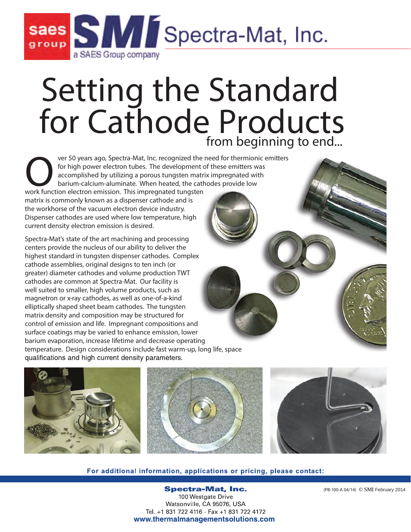

# Setting the Standard for Cathode Products **from beginning to end...**

ver 50 years ago, Spectra-Mat, Inc. recognized the need for thermionic emitters for high power electron tubes. The development of these emitters was accomplished by utilizing a porous tungsten matrix impregnated with barium-calcium-aluminate. When heated, the cathodes provide low work function electron emission. This impregnated tungsten matrix is commonly known as a dispenser cathode and is the workhorse of the vacuum electron device industry. Dispenser cathodes are used where low temperature, high

Spectra-Mat's state of the art machining and processing centers provide the nucleus of our ability to deliver the highest standard in tungsten dispenser cathodes. Complex cathode assemblies, original designs to ten inch (or greater) diameter cathodes and volume production TWT cathodes are common at Spectra-Mat. Our facility is well suited to smaller, high volume products, such as magnetron or x-ray cathodes, as well as one-of-a-kind elliptically shaped sheet beam cathodes. The tungsten matrix density and composition may be structured for control of emission and life. Impregnant compositions and surface coatings may be varied to enhance emission, lower barium evaporation, increase lifetime and decrease operating temperature. Design considerations include fast warm-up, long life, space qualifications and high current density parameters.

current density electron emission is desired.



#### For additional information, applications or pricing, please contact:

**Spectra-Mat, Inc.** 100 Westgate Drive Watsonville, CA 95076, USA Tel. +1 831 722 4116 - Fax +1 831 722 4172 www.thermalmanagementsolutions.com

(PB-100-A 04/14) © SMI February 2014